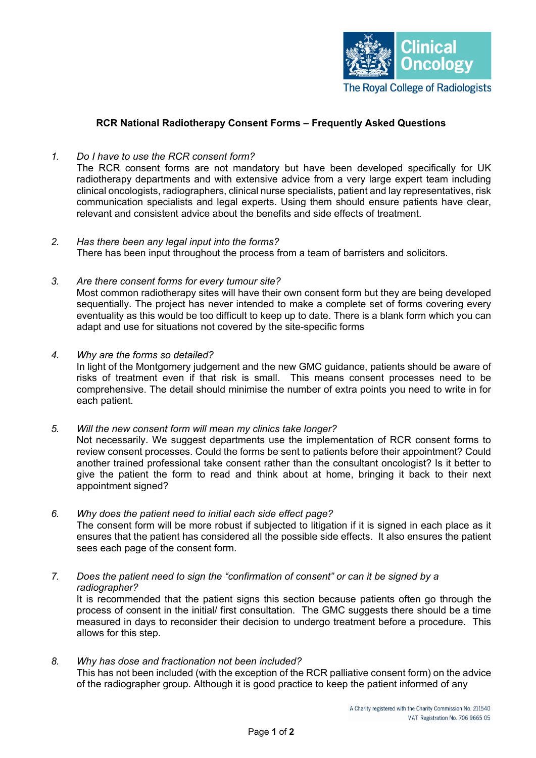

# **RCR National Radiotherapy Consent Forms – Frequently Asked Questions**

### *1. Do I have to use the RCR consent form?*

The RCR consent forms are not mandatory but have been developed specifically for UK radiotherapy departments and with extensive advice from a very large expert team including clinical oncologists, radiographers, clinical nurse specialists, patient and lay representatives, risk communication specialists and legal experts. Using them should ensure patients have clear, relevant and consistent advice about the benefits and side effects of treatment.

#### *2. Has there been any legal input into the forms?*  There has been input throughout the process from a team of barristers and solicitors.

### *3. Are there consent forms for every tumour site?*

Most common radiotherapy sites will have their own consent form but they are being developed sequentially. The project has never intended to make a complete set of forms covering every eventuality as this would be too difficult to keep up to date. There is a blank form which you can adapt and use for situations not covered by the site-specific forms

### *4. Why are the forms so detailed?*

In light of the Montgomery judgement and the new GMC guidance, patients should be aware of risks of treatment even if that risk is small. This means consent processes need to be comprehensive. The detail should minimise the number of extra points you need to write in for each patient.

*5. Will the new consent form will mean my clinics take longer?*

Not necessarily. We suggest departments use the implementation of RCR consent forms to review consent processes. Could the forms be sent to patients before their appointment? Could another trained professional take consent rather than the consultant oncologist? Is it better to give the patient the form to read and think about at home, bringing it back to their next appointment signed?

- *6. Why does the patient need to initial each side effect page?*  The consent form will be more robust if subjected to litigation if it is signed in each place as it ensures that the patient has considered all the possible side effects. It also ensures the patient sees each page of the consent form.
- *7. Does the patient need to sign the "confirmation of consent" or can it be signed by a radiographer?*

It is recommended that the patient signs this section because patients often go through the process of consent in the initial/ first consultation. The GMC suggests there should be a time measured in days to reconsider their decision to undergo treatment before a procedure. This allows for this step.

*8. Why has dose and fractionation not been included?*  This has not been included (with the exception of the RCR palliative consent form) on the advice of the radiographer group. Although it is good practice to keep the patient informed of any